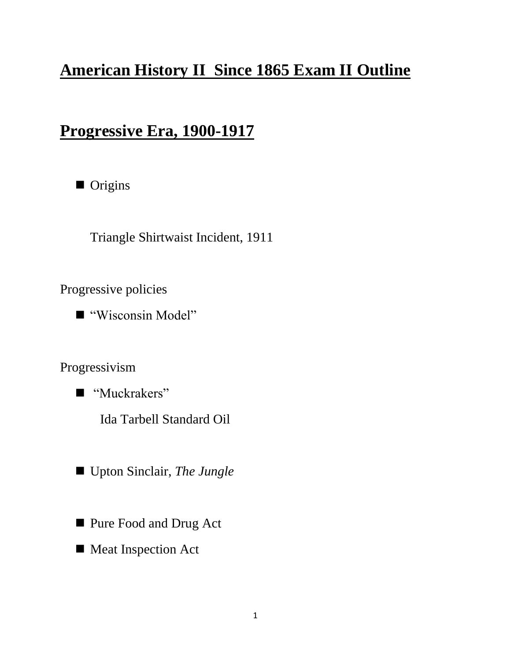## **American History II Since 1865 Exam II Outline**

## **Progressive Era, 1900-1917**



Triangle Shirtwaist Incident, 1911

Progressive policies

■ "Wisconsin Model"

Progressivism

■ "Muckrakers"

Ida Tarbell Standard Oil

- Upton Sinclair, *The Jungle*
- **Pure Food and Drug Act**
- Meat Inspection Act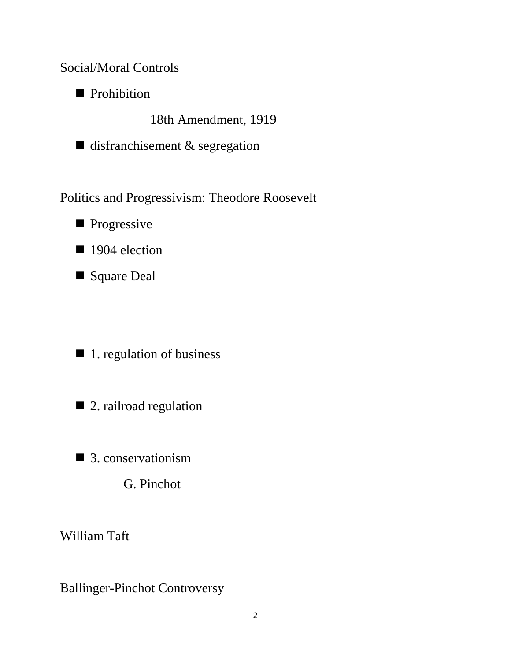Social/Moral Controls

**Prohibition** 

18th Amendment, 1919

 $\blacksquare$  disfranchisement & segregation

Politics and Progressivism: Theodore Roosevelt

**Progressive** 

■ 1904 election

Square Deal

 $\blacksquare$  1. regulation of business

■ 2. railroad regulation

■ 3. conservationism

G. Pinchot

William Taft

Ballinger-Pinchot Controversy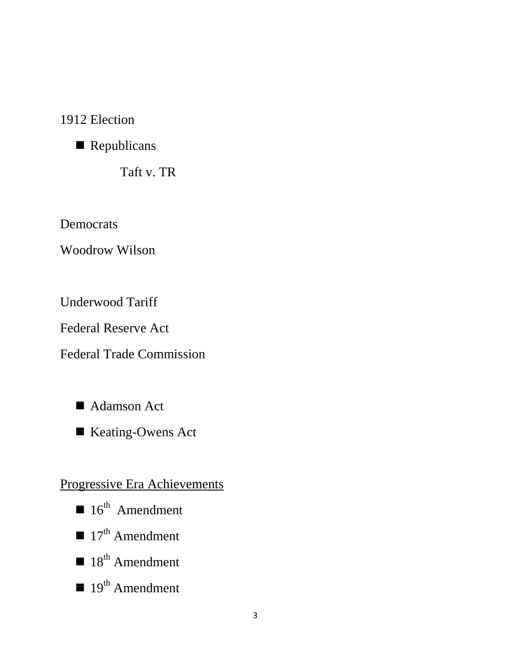#### 1912 Election

Republicans

Taft v. TR

Democrats

Woodrow Wilson

Underwood Tariff

Federal Reserve Act

Federal Trade Commission

- Adamson Act
- Keating-Owens Act

#### Progressive Era Achievements

- $\blacksquare$  16<sup>th</sup> Amendment
- $\blacksquare$  17<sup>th</sup> Amendment
- $\blacksquare$  18<sup>th</sup> Amendment
- $\blacksquare$  19<sup>th</sup> Amendment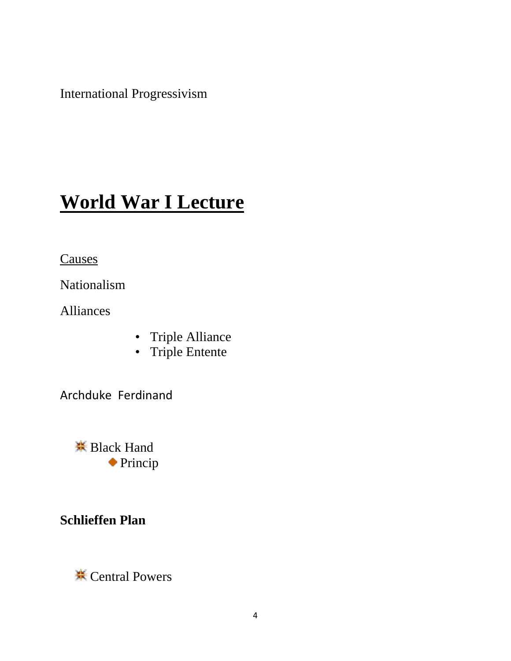International Progressivism

# **World War I Lecture**

**Causes** 

Nationalism

Alliances

- Triple Alliance
- Triple Entente

Archduke Ferdinand

**<del></del>** Black Hand Princip

#### **Schlieffen Plan**

**<del></u>** Central Powers</del>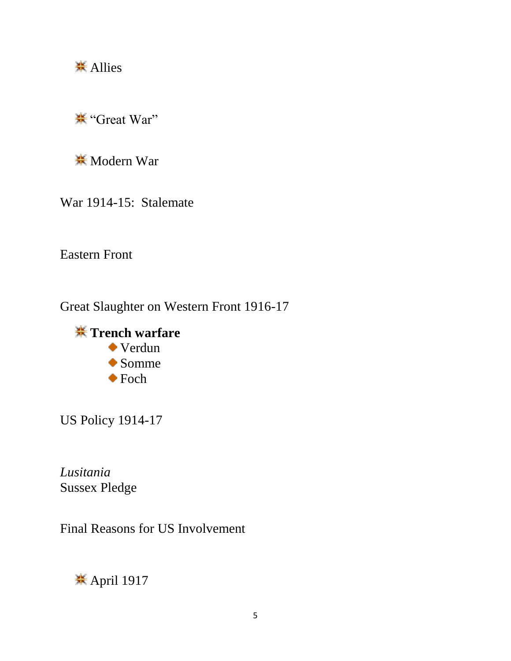**<del></del>** Allies

"Great War"

**<del></del>**Modern War

War 1914-15: Stalemate

Eastern Front

Great Slaughter on Western Front 1916-17



US Policy 1914-17

*Lusitania* Sussex Pledge

Final Reasons for US Involvement

<del></del> April 1917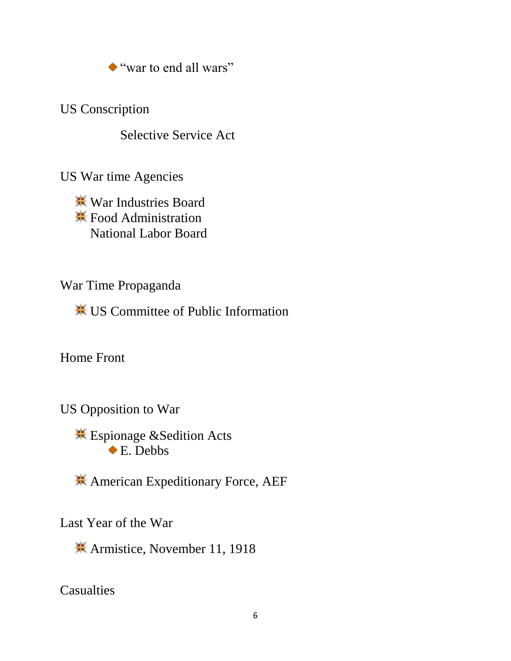"war to end all wars"

US Conscription

Selective Service Act

US War time Agencies

War Industries Board  $\frac{1}{1000}$  **Food Administration** National Labor Board

War Time Propaganda

US Committee of Public Information

Home Front

US Opposition to War

Espionage &Sedition Acts ◆ E. Debbs

American Expeditionary Force, AEF

Last Year of the War

Armistice, November 11, 1918

**Casualties**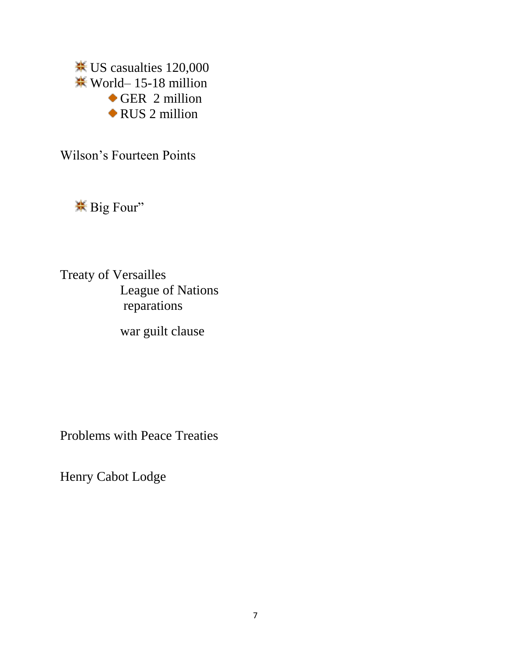US casualties 120,000  $\frac{12}{15}$  World– 15-18 million GER 2 million RUS 2 million

Wilson's Fourteen Points

Big Four"

Treaty of Versailles League of Nations reparations

war guilt clause

Problems with Peace Treaties

Henry Cabot Lodge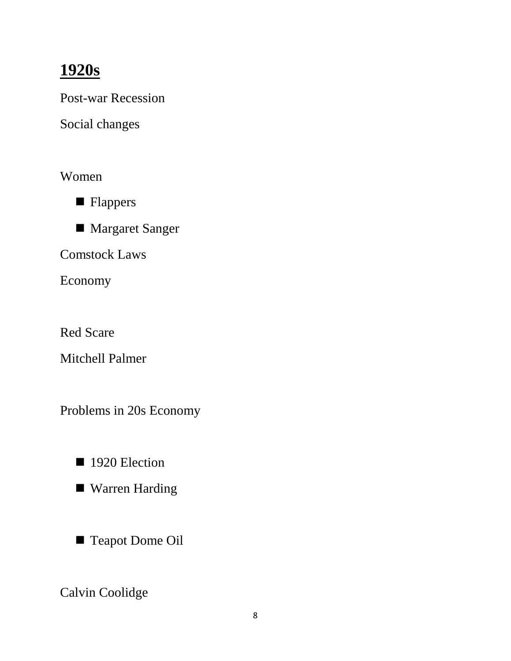### **1920s**

Post-war Recession

Social changes

Women



■ Margaret Sanger

Comstock Laws

Economy

Red Scare

Mitchell Palmer

Problems in 20s Economy

- 1920 Election
- Warren Harding
- Teapot Dome Oil

Calvin Coolidge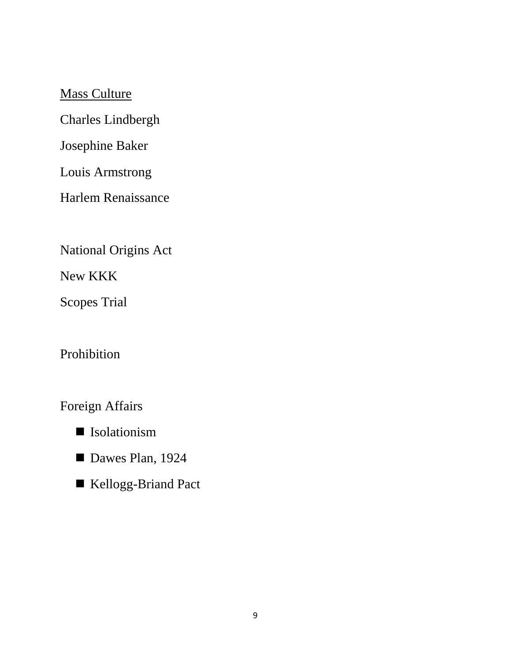Mass Culture

Charles Lindbergh

Josephine Baker

Louis Armstrong

Harlem Renaissance

National Origins Act

New KKK

Scopes Trial

Prohibition

Foreign Affairs

- Isolationism
- Dawes Plan, 1924
- Kellogg-Briand Pact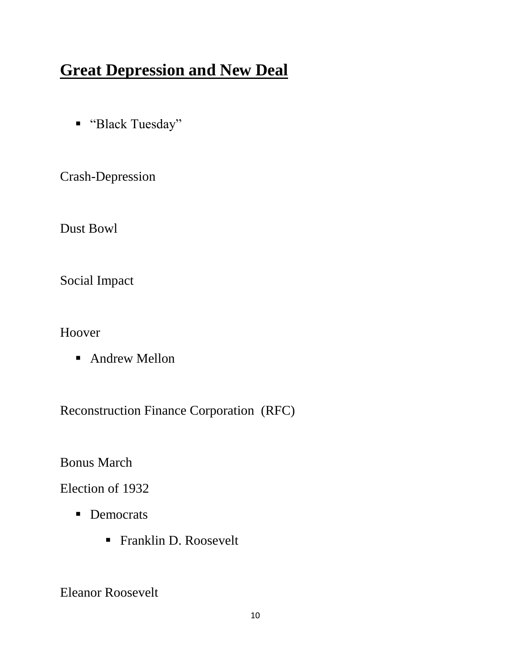# **Great Depression and New Deal**

■ "Black Tuesday"

Crash-Depression

Dust Bowl

Social Impact

Hoover

■ Andrew Mellon

Reconstruction Finance Corporation (RFC)

Bonus March

Election of 1932

- Democrats
	- Franklin D. Roosevelt

Eleanor Roosevelt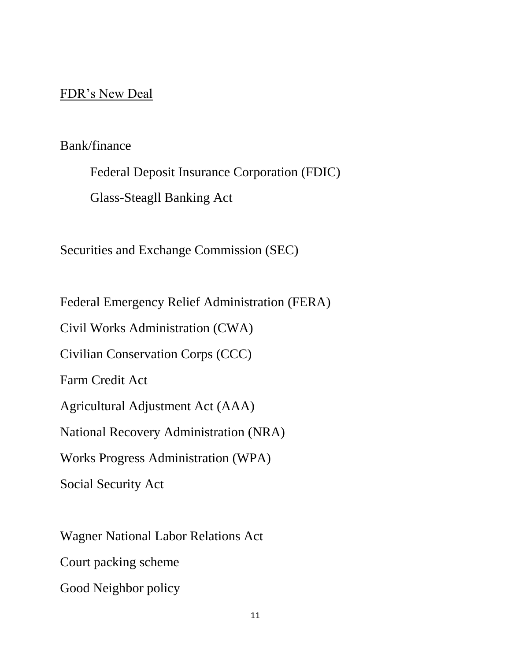#### FDR's New Deal

#### Bank/finance

Federal Deposit Insurance Corporation (FDIC) Glass-Steagll Banking Act

Securities and Exchange Commission (SEC)

Federal Emergency Relief Administration (FERA)

Civil Works Administration (CWA)

Civilian Conservation Corps (CCC)

Farm Credit Act

Agricultural Adjustment Act (AAA)

National Recovery Administration (NRA)

Works Progress Administration (WPA)

Social Security Act

Wagner National Labor Relations Act Court packing scheme Good Neighbor policy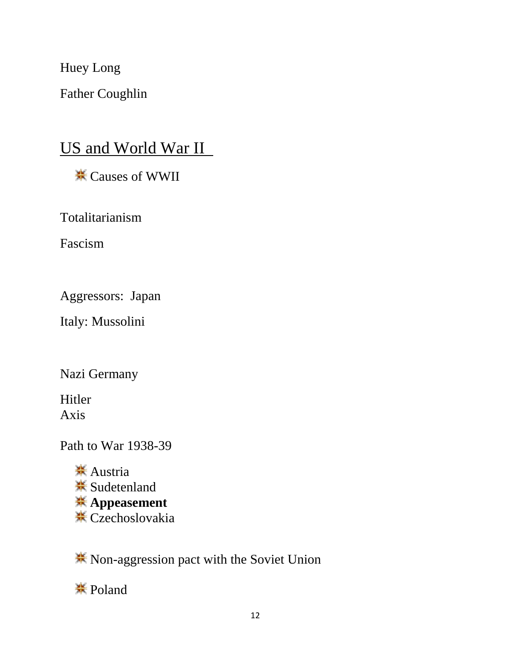Huey Long

Father Coughlin

### US and World War II

Causes of WWII

Totalitarianism

Fascism

Aggressors: Japan

Italy: Mussolini

Nazi Germany

Hitler Axis

Path to War 1938-39

**<del></del>** Austria **<del></del>** Sudetenland **Appeasement <del></del> Czechoslovakia** 

**K** Non-aggression pact with the Soviet Union

**※Poland**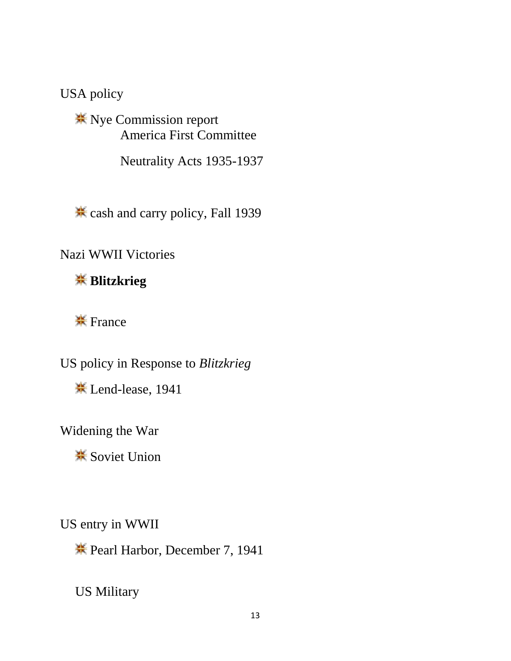USA policy

**<sup><del></del>***★* **Nye Commission report**</sup> America First Committee

Neutrality Acts 1935-1937

cash and carry policy, Fall 1939

Nazi WWII Victories

**Blitzkrieg**

 $\frac{1}{25}$  France

US policy in Response to *Blitzkrieg*

Lend-lease, 1941

Widening the War

**<del></del>** Soviet Union

US entry in WWII

**\*** Pearl Harbor, December 7, 1941

US Military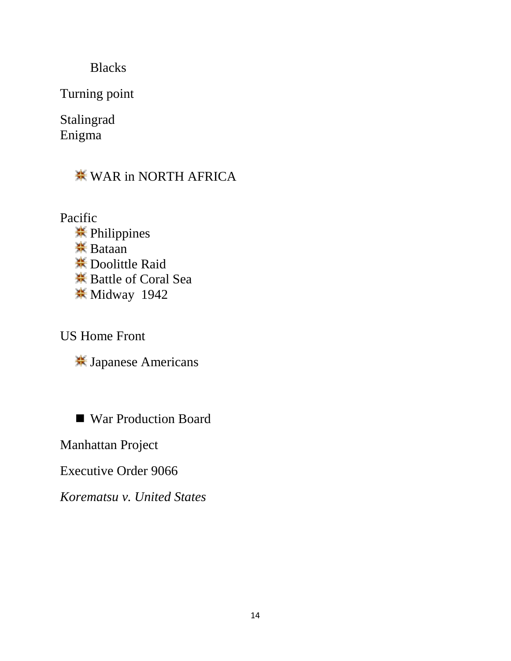Blacks

Turning point

Stalingrad Enigma

**WAR in NORTH AFRICA** 

Pacific **<del></del>** Philippines **<del></del>** Bataan Doolittle Raid Battle of Coral Sea **Widway 1942** 

US Home Front

Japanese Americans

■ War Production Board

Manhattan Project

Executive Order 9066

*Korematsu v. United States*